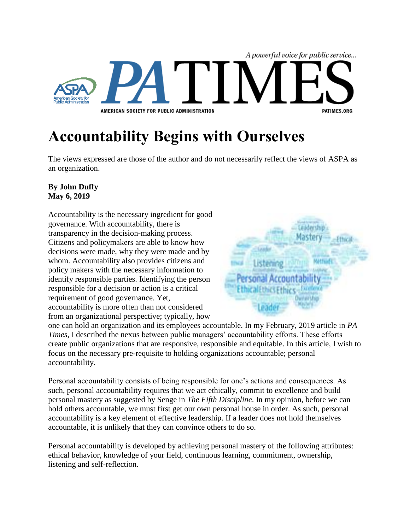

## **Accountability Begins with Ourselves**

The views expressed are those of the author and do not necessarily reflect the views of ASPA as an organization.

## **By John Duffy May 6, 2019**

Accountability is the necessary ingredient for good governance. With accountability, there is transparency in the decision-making process. Citizens and policymakers are able to know how decisions were made, why they were made and by whom. Accountability also provides citizens and policy makers with the necessary information to identify responsible parties. Identifying the person responsible for a decision or action is a critical requirement of good governance. Yet, accountability is more often than not considered from an organizational perspective; typically, how



one can hold an organization and its employees accountable. In my February, 2019 article in *PA Times*, I described the nexus between public managers' accountability efforts. These efforts create public organizations that are responsive, responsible and equitable. In this article, I wish to focus on the necessary pre-requisite to holding organizations accountable; personal accountability.

Personal accountability consists of being responsible for one's actions and consequences. As such, personal accountability requires that we act ethically, commit to excellence and build personal mastery as suggested by Senge in *The Fifth Discipline*. In my opinion, before we can hold others accountable, we must first get our own personal house in order. As such, personal accountability is a key element of effective leadership. If a leader does not hold themselves accountable, it is unlikely that they can convince others to do so.

Personal accountability is developed by achieving personal mastery of the following attributes: ethical behavior, knowledge of your field, continuous learning, commitment, ownership, listening and self-reflection.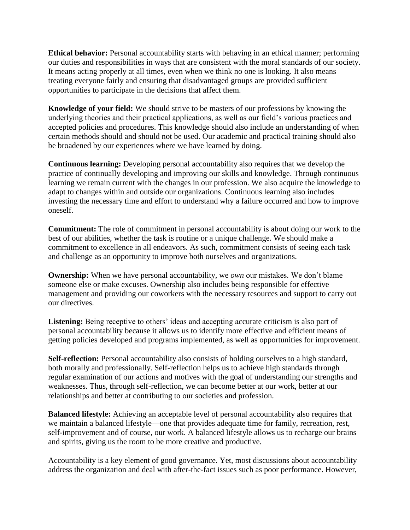**Ethical behavior:** Personal accountability starts with behaving in an ethical manner; performing our duties and responsibilities in ways that are consistent with the moral standards of our society. It means acting properly at all times, even when we think no one is looking. It also means treating everyone fairly and ensuring that disadvantaged groups are provided sufficient opportunities to participate in the decisions that affect them.

**Knowledge of your field:** We should strive to be masters of our professions by knowing the underlying theories and their practical applications, as well as our field's various practices and accepted policies and procedures. This knowledge should also include an understanding of when certain methods should and should not be used. Our academic and practical training should also be broadened by our experiences where we have learned by doing.

**Continuous learning:** Developing personal accountability also requires that we develop the practice of continually developing and improving our skills and knowledge. Through continuous learning we remain current with the changes in our profession. We also acquire the knowledge to adapt to changes within and outside our organizations. Continuous learning also includes investing the necessary time and effort to understand why a failure occurred and how to improve oneself.

**Commitment:** The role of commitment in personal accountability is about doing our work to the best of our abilities, whether the task is routine or a unique challenge. We should make a commitment to excellence in all endeavors. As such, commitment consists of seeing each task and challenge as an opportunity to improve both ourselves and organizations.

**Ownership:** When we have personal accountability, we *own* our mistakes. We don't blame someone else or make excuses. Ownership also includes being responsible for effective management and providing our coworkers with the necessary resources and support to carry out our directives.

**Listening:** Being receptive to others' ideas and accepting accurate criticism is also part of personal accountability because it allows us to identify more effective and efficient means of getting policies developed and programs implemented, as well as opportunities for improvement.

**Self-reflection:** Personal accountability also consists of holding ourselves to a high standard, both morally and professionally. Self-reflection helps us to achieve high standards through regular examination of our actions and motives with the goal of understanding our strengths and weaknesses. Thus, through self-reflection, we can become better at our work, better at our relationships and better at contributing to our societies and profession.

**Balanced lifestyle:** Achieving an acceptable level of personal accountability also requires that we maintain a balanced lifestyle—one that provides adequate time for family, recreation, rest, self-improvement and of course, our work. A balanced lifestyle allows us to recharge our brains and spirits, giving us the room to be more creative and productive.

Accountability is a key element of good governance. Yet, most discussions about accountability address the organization and deal with after-the-fact issues such as poor performance. However,